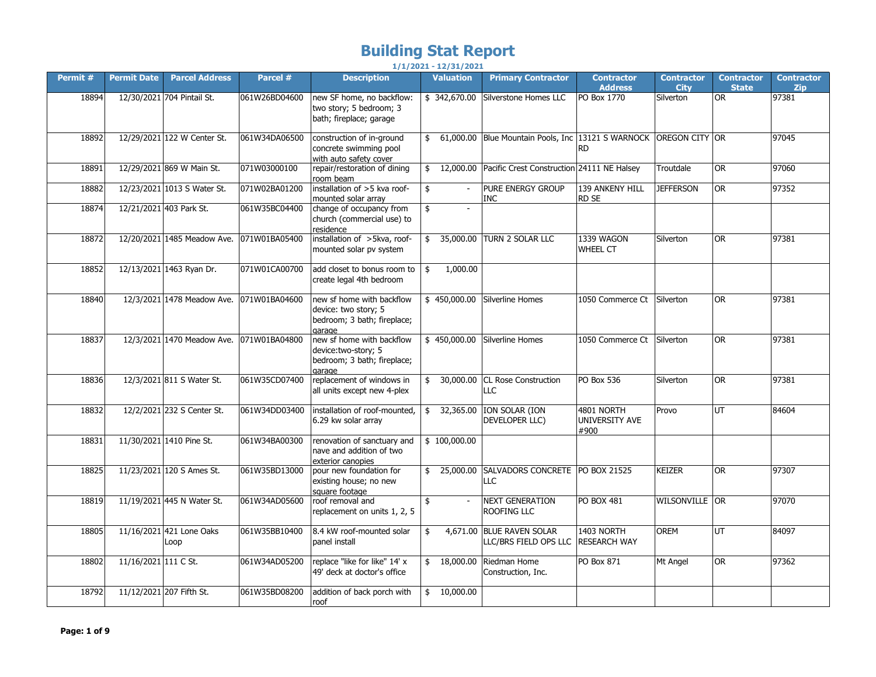## **Building Stat Report**

|          |                      |                                  |               |                                                                                            | $1/1/2021 - 12/31/2021$ |                                                               |                                      |                                  |                                   |                                 |
|----------|----------------------|----------------------------------|---------------|--------------------------------------------------------------------------------------------|-------------------------|---------------------------------------------------------------|--------------------------------------|----------------------------------|-----------------------------------|---------------------------------|
| Permit # | <b>Permit Date</b>   | <b>Parcel Address</b>            | Parcel #      | <b>Description</b>                                                                         | <b>Valuation</b>        | <b>Primary Contractor</b>                                     | <b>Contractor</b><br><b>Address</b>  | <b>Contractor</b><br><b>City</b> | <b>Contractor</b><br><b>State</b> | <b>Contractor</b><br><b>Zip</b> |
| 18894    |                      | 12/30/2021 704 Pintail St.       | 061W26BD04600 | new SF home, no backflow:<br>two story; 5 bedroom; 3<br>bath; fireplace; garage            | \$342,670.00            | Silverstone Homes LLC                                         | PO Box 1770                          | Silverton                        | <b>OR</b>                         | 97381                           |
| 18892    |                      | 12/29/2021 122 W Center St.      | 061W34DA06500 | construction of in-ground<br>concrete swimming pool<br>with auto safety cover              | \$                      | 61,000.00 Blue Mountain Pools, Inc 13121 S WARNOCK            | <b>RD</b>                            | OREGON CITY OR                   |                                   | 97045                           |
| 18891    |                      | 12/29/2021 869 W Main St.        | 071W03000100  | repair/restoration of dining<br>room beam                                                  | \$                      | 12,000.00 Pacific Crest Construction 24111 NE Halsey          |                                      | Troutdale                        | <b>OR</b>                         | 97060                           |
| 18882    |                      | 12/23/2021 1013 S Water St.      | 071W02BA01200 | installation of >5 kva roof-<br>mounted solar arrav                                        | \$<br>$\sim$            | PURE ENERGY GROUP<br>INC                                      | 139 ANKENY HILL<br>RD SE             | <b>JEFFERSON</b>                 | <b>OR</b>                         | 97352                           |
| 18874    |                      | 12/21/2021 403 Park St.          | 061W35BC04400 | change of occupancy from<br>church (commercial use) to<br>residence                        | \$<br>$\overline{a}$    |                                                               |                                      |                                  |                                   |                                 |
| 18872    |                      | 12/20/2021 1485 Meadow Ave.      | 071W01BA05400 | installation of >5kva, roof-<br>mounted solar pv system                                    | \$                      | 35,000.00 TURN 2 SOLAR LLC                                    | 1339 WAGON<br><b>WHEEL CT</b>        | Silverton                        | <b>OR</b>                         | 97381                           |
| 18852    |                      | 12/13/2021 1463 Ryan Dr.         | 071W01CA00700 | add closet to bonus room to<br>create legal 4th bedroom                                    | 1,000.00<br>\$          |                                                               |                                      |                                  |                                   |                                 |
| 18840    |                      | 12/3/2021 1478 Meadow Ave.       | 071W01BA04600 | new sf home with backflow<br>device: two story; 5<br>bedroom; 3 bath; fireplace;<br>garage |                         | \$450,000.00 Silverline Homes                                 | 1050 Commerce Ct                     | Silverton                        | <b>OR</b>                         | 97381                           |
| 18837    |                      | 12/3/2021 1470 Meadow Ave.       | 071W01BA04800 | new sf home with backflow<br>device: two-story; 5<br>bedroom; 3 bath; fireplace;<br>garage |                         | \$450,000.00 Silverline Homes                                 | 1050 Commerce Ct                     | Silverton                        | <b>OR</b>                         | 97381                           |
| 18836    |                      | 12/3/2021 811 S Water St.        | 061W35CD07400 | replacement of windows in<br>all units except new 4-plex                                   | \$                      | 30,000.00 CL Rose Construction<br>LLC                         | <b>PO Box 536</b>                    | Silverton                        | <b>OR</b>                         | 97381                           |
| 18832    |                      | 12/2/2021 232 S Center St.       | 061W34DD03400 | installation of roof-mounted<br>6.29 kw solar array                                        | 32,365.00<br>\$         | ION SOLAR (ION<br>DEVELOPER LLC)                              | 4801 NORTH<br>UNIVERSITY AVE<br>#900 | Provo                            | UT                                | 84604                           |
| 18831    |                      | 11/30/2021 1410 Pine St.         | 061W34BA00300 | renovation of sanctuary and<br>nave and addition of two<br>exterior canopies               | \$100,000.00            |                                                               |                                      |                                  |                                   |                                 |
| 18825    |                      | 11/23/2021 120 S Ames St.        | 061W35BD13000 | pour new foundation for<br>existing house; no new<br>square footage                        | 25,000.00<br>\$         | SALVADORS CONCRETE   PO BOX 21525<br>LLC                      |                                      | <b>KEIZER</b>                    | <b>OR</b>                         | 97307                           |
| 18819    |                      | 11/19/2021 445 N Water St.       | 061W34AD05600 | roof removal and<br>replacement on units 1, 2, 5                                           | \$<br>$\mathbf{r}$      | <b>NEXT GENERATION</b><br>ROOFING LLC                         | PO BOX 481                           | WILSONVILLE OR                   |                                   | 97070                           |
| 18805    |                      | 11/16/2021 421 Lone Oaks<br>Loop | 061W35BB10400 | 8.4 kW roof-mounted solar<br>panel install                                                 | 4,671.00<br>\$          | <b>BLUE RAVEN SOLAR</b><br>LLC/BRS FIELD OPS LLC RESEARCH WAY | 1403 NORTH                           | <b>OREM</b>                      | UT                                | 84097                           |
| 18802    | 11/16/2021 111 C St. |                                  | 061W34AD05200 | replace "like for like" 14' x<br>49' deck at doctor's office                               | 18,000.00               | Riedman Home<br>Construction, Inc.                            | PO Box 871                           | Mt Angel                         | <b>OR</b>                         | 97362                           |
| 18792    |                      | 11/12/2021 207 Fifth St.         | 061W35BD08200 | addition of back porch with<br>roof                                                        | 10,000.00<br>\$         |                                                               |                                      |                                  |                                   |                                 |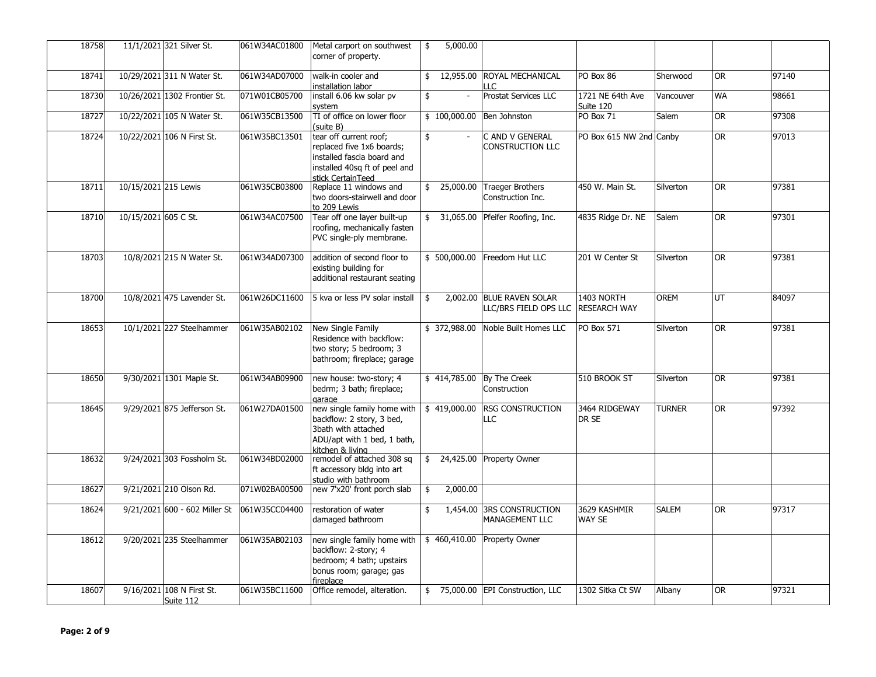| 18758 |                      | 11/1/2021 321 Silver St.               | 061W34AC01800 | Metal carport on southwest<br>corner of property.                                                                                       | 5,000.00<br>\$       |                                                    |                                   |               |           |       |
|-------|----------------------|----------------------------------------|---------------|-----------------------------------------------------------------------------------------------------------------------------------------|----------------------|----------------------------------------------------|-----------------------------------|---------------|-----------|-------|
| 18741 |                      | 10/29/2021 311 N Water St.             | 061W34AD07000 | walk-in cooler and<br>installation labor                                                                                                | 12,955.00            | ROYAL MECHANICAL<br>11 C                           | PO Box 86                         | Sherwood      | OR.       | 97140 |
| 18730 |                      | 10/26/2021 1302 Frontier St.           | 071W01CB05700 | install 6.06 kw solar pv<br>system                                                                                                      | \$<br>$\blacksquare$ | <b>Prostat Services LLC</b>                        | 1721 NE 64th Ave<br>Suite 120     | Vancouver     | <b>WA</b> | 98661 |
| 18727 |                      | 10/22/2021 105 N Water St.             | 061W35CB13500 | TI of office on lower floor<br>(suite B)                                                                                                | \$100,000.00         | Ben Johnston                                       | PO Box 71                         | Salem         | OR.       | 97308 |
| 18724 |                      | 10/22/2021 106 N First St.             | 061W35BC13501 | tear off current roof;<br>replaced five 1x6 boards;<br>installed fascia board and<br>installed 40sq ft of peel and<br>stick CertainTeed | \$                   | C AND V GENERAL<br>CONSTRUCTION LLC                | PO Box 615 NW 2nd Canby           |               | OR.       | 97013 |
| 18711 | 10/15/2021 215 Lewis |                                        | 061W35CB03800 | Replace 11 windows and<br>two doors-stairwell and door<br>to 209 Lewis                                                                  | 25,000.00<br>\$      | <b>Traeger Brothers</b><br>Construction Inc.       | 450 W. Main St.                   | Silverton     | OR.       | 97381 |
| 18710 | 10/15/2021 605 C St. |                                        | 061W34AC07500 | Tear off one layer built-up<br>roofing, mechanically fasten<br>PVC single-ply membrane.                                                 |                      | \$ 31,065.00 Pfeifer Roofing, Inc.                 | 4835 Ridge Dr. NE                 | Salem         | OR        | 97301 |
| 18703 |                      | 10/8/2021 215 N Water St.              | 061W34AD07300 | addition of second floor to<br>existing building for<br>additional restaurant seating                                                   | \$500,000.00         | Freedom Hut LLC                                    | 201 W Center St                   | Silverton     | <b>OR</b> | 97381 |
| 18700 |                      | 10/8/2021 475 Lavender St.             | 061W26DC11600 | 5 kva or less PV solar install                                                                                                          | \$                   | 2,002.00 BLUE RAVEN SOLAR<br>LLC/BRS FIELD OPS LLC | 1403 NORTH<br><b>RESEARCH WAY</b> | <b>OREM</b>   | UT        | 84097 |
| 18653 |                      | 10/1/2021 227 Steelhammer              | 061W35AB02102 | New Single Family<br>Residence with backflow:<br>two story; 5 bedroom; 3<br>bathroom; fireplace; garage                                 | \$372,988.00         | Noble Built Homes LLC                              | PO Box 571                        | Silverton     | <b>OR</b> | 97381 |
| 18650 |                      | 9/30/2021 1301 Maple St.               | 061W34AB09900 | new house: two-story; 4<br>bedrm; 3 bath; fireplace;<br>garage                                                                          | \$414,785.00         | By The Creek<br>Construction                       | 510 BROOK ST                      | Silverton     | <b>OR</b> | 97381 |
| 18645 |                      | 9/29/2021 875 Jefferson St.            | 061W27DA01500 | new single family home with<br>backflow: 2 story, 3 bed,<br>3bath with attached<br>ADU/apt with 1 bed, 1 bath,<br>kitchen & living      | \$419,000.00         | <b>RSG CONSTRUCTION</b><br>LLC                     | 3464 RIDGEWAY<br>DR SE            | <b>TURNER</b> | OR.       | 97392 |
| 18632 |                      | 9/24/2021 303 Fossholm St.             | 061W34BD02000 | remodel of attached 308 sq<br>ft accessory bldg into art<br>studio with bathroom                                                        | 24,425.00<br>\$      | Property Owner                                     |                                   |               |           |       |
| 18627 |                      | 9/21/2021 210 Olson Rd.                | 071W02BA00500 | new 7'x20' front porch slab                                                                                                             | 2,000.00<br>\$       |                                                    |                                   |               |           |       |
| 18624 |                      | 9/21/2021 600 - 602 Miller St          | 061W35CC04400 | restoration of water<br>damaged bathroom                                                                                                | 1,454.00<br>\$       | <b>3RS CONSTRUCTION</b><br>MANAGEMENT LLC          | 3629 KASHMIR<br>WAY SE            | <b>SALEM</b>  | <b>OR</b> | 97317 |
| 18612 |                      | 9/20/2021 235 Steelhammer              | 061W35AB02103 | new single family home with<br>backflow: 2-story; 4<br>bedroom; 4 bath; upstairs<br>bonus room; garage; gas<br>fireplace                | \$460,410.00         | <b>Property Owner</b>                              |                                   |               |           |       |
| 18607 |                      | 9/16/2021 108 N First St.<br>Suite 112 | 061W35BC11600 | Office remodel, alteration.                                                                                                             | \$                   | 75,000.00 EPI Construction, LLC                    | 1302 Sitka Ct SW                  | Albany        | <b>OR</b> | 97321 |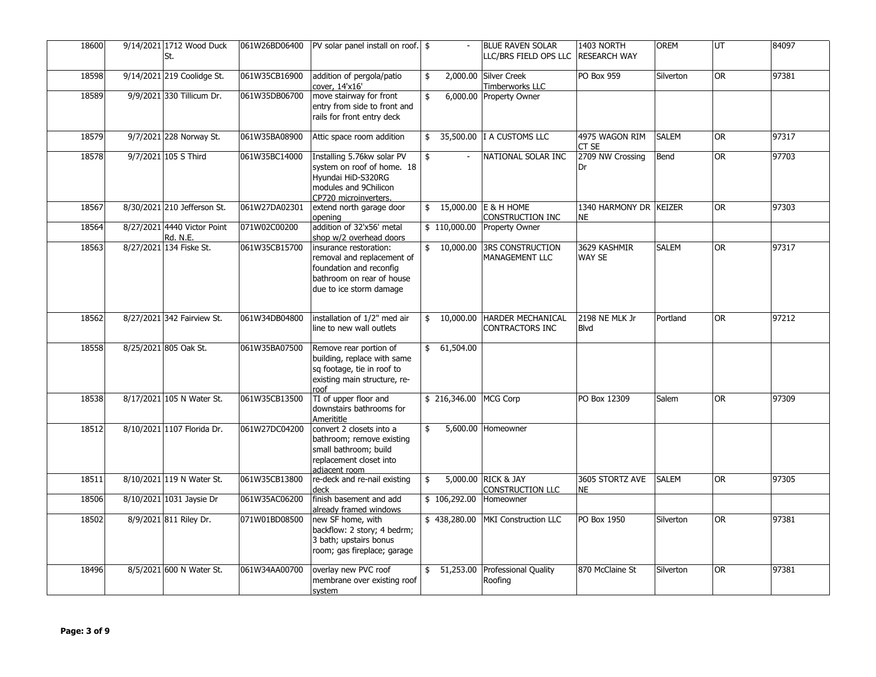| 18600 | 9/14/2021 1712 Wood Duck<br>St.                | 061W26BD06400 | PV solar panel install on roof. \ \$                                                                                                    |              | <b>BLUE RAVEN SOLAR</b><br>LLC/BRS FIELD OPS LLC   | 1403 NORTH<br><b>RESEARCH WAY</b>   | <b>OREM</b>  | UT        | 84097 |
|-------|------------------------------------------------|---------------|-----------------------------------------------------------------------------------------------------------------------------------------|--------------|----------------------------------------------------|-------------------------------------|--------------|-----------|-------|
| 18598 | 9/14/2021 219 Coolidge St.                     | 061W35CB16900 | addition of pergola/patio<br>cover, 14'x16'                                                                                             | \$           | 2,000.00 Silver Creek<br>Timberworks LLC           | PO Box 959                          | Silverton    | OR.       | 97381 |
| 18589 | 9/9/2021 330 Tillicum Dr.                      | 061W35DB06700 | move stairway for front<br>entry from side to front and<br>rails for front entry deck                                                   | \$           | 6,000.00 Property Owner                            |                                     |              |           |       |
| 18579 | 9/7/2021 228 Norway St.                        | 061W35BA08900 | Attic space room addition                                                                                                               | \$           | 35,500.00 I A CUSTOMS LLC                          | 4975 WAGON RIM<br>CT SE             | <b>SALEM</b> | OR.       | 97317 |
| 18578 | 9/7/2021 105 S Third                           | 061W35BC14000 | Installing 5.76kw solar PV<br>system on roof of home. 18<br>Hyundai HiD-S320RG<br>modules and 9Chilicon<br>CP720 microinverters.        | \$           | NATIONAL SOLAR INC                                 | 2709 NW Crossing<br>Dr              | Bend         | <b>OR</b> | 97703 |
| 18567 | 8/30/2021 210 Jefferson St.                    | 061W27DA02301 | extend north garage door<br>opening                                                                                                     | \$           | 15,000.00 E & H HOME<br>CONSTRUCTION INC           | 1340 HARMONY DR KEIZER<br><b>NE</b> |              | OR        | 97303 |
| 18564 | 8/27/2021 4440 Victor Point<br><b>Rd. N.E.</b> | 071W02C00200  | addition of 32'x56' metal<br>shop w/2 overhead doors                                                                                    | \$110,000.00 | Property Owner                                     |                                     |              |           |       |
| 18563 | 8/27/2021 134 Fiske St.                        | 061W35CB15700 | insurance restoration:<br>removal and replacement of<br>foundation and reconfig<br>bathroom on rear of house<br>due to ice storm damage | \$10,000.00  | <b>3RS CONSTRUCTION</b><br>MANAGEMENT LLC          | 3629 KASHMIR<br><b>WAY SE</b>       | <b>SALEM</b> | OR.       | 97317 |
| 18562 | 8/27/2021 342 Fairview St.                     | 061W34DB04800 | installation of 1/2" med air<br>line to new wall outlets                                                                                | \$10,000.00  | <b>HARDER MECHANICAL</b><br><b>CONTRACTORS INC</b> | 2198 NE MLK Jr<br><b>Blvd</b>       | Portland     | <b>OR</b> | 97212 |
| 18558 | 8/25/2021 805 Oak St.                          | 061W35BA07500 | Remove rear portion of<br>building, replace with same<br>sq footage, tie in roof to<br>existing main structure, re-<br>roof             | \$61,504.00  |                                                    |                                     |              |           |       |
| 18538 | 8/17/2021 105 N Water St.                      | 061W35CB13500 | TI of upper floor and<br>downstairs bathrooms for<br>Amerititle                                                                         |              | \$216,346.00 MCG Corp                              | PO Box 12309                        | Salem        | OR.       | 97309 |
| 18512 | 8/10/2021 1107 Florida Dr.                     | 061W27DC04200 | convert 2 closets into a<br>bathroom; remove existing<br>small bathroom; build<br>replacement closet into<br>adiacent room              |              | 5,600.00<br>Homeowner                              |                                     |              |           |       |
| 18511 | 8/10/2021 119 N Water St.                      | 061W35CB13800 | re-deck and re-nail existing<br>deck                                                                                                    | \$           | 5,000.00 RICK & JAY<br>CONSTRUCTION LLC            | 3605 STORTZ AVE<br>ΝE               | <b>SALEM</b> | 0R        | 97305 |
| 18506 | 8/10/2021 1031 Jaysie Dr                       | 061W35AC06200 | finish basement and add<br>already framed windows                                                                                       | \$106,292.00 | Homeowner                                          |                                     |              |           |       |
| 18502 | 8/9/2021 811 Riley Dr.                         | 071W01BD08500 | new SF home, with<br>backflow: 2 story; 4 bedrm;<br>3 bath; upstairs bonus<br>room; gas fireplace; garage                               | \$438,280.00 | <b>MKI Construction LLC</b>                        | PO Box 1950                         | Silverton    | <b>OR</b> | 97381 |
| 18496 | 8/5/2021 600 N Water St.                       | 061W34AA00700 | overlay new PVC roof<br>membrane over existing roof<br>system                                                                           | \$51,253.00  | Professional Quality<br>Roofing                    | 870 McClaine St                     | Silverton    | <b>OR</b> | 97381 |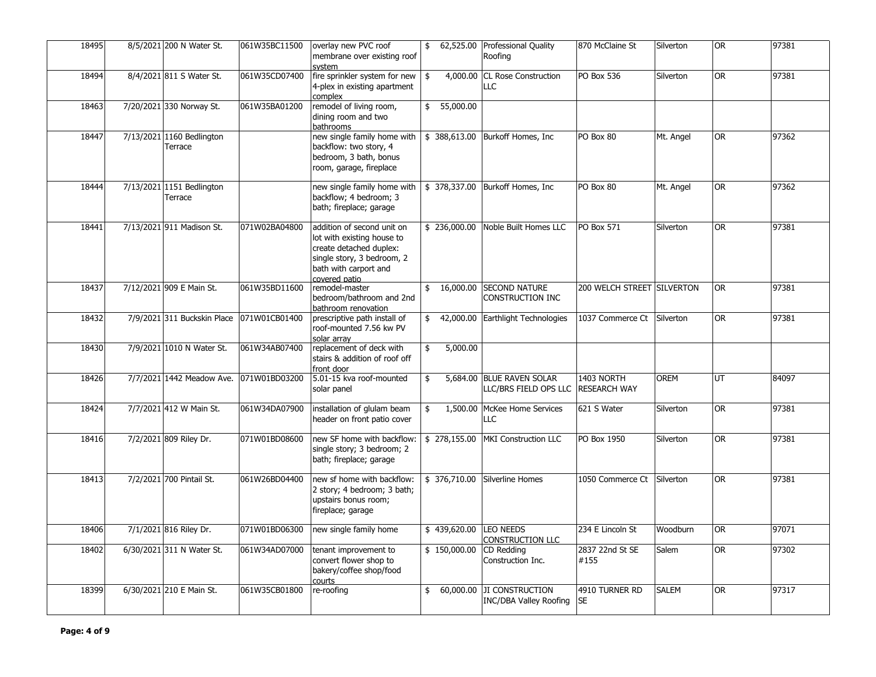| 18495 | 8/5/2021 200 N Water St.             | 061W35BC11500 | overlay new PVC roof<br>membrane over existing roof<br>svstem                                                                                               | 62,525.00<br>\$ | <b>Professional Quality</b><br>Roofing                     | 870 McClaine St                   | Silverton    | <b>OR</b> | 97381 |
|-------|--------------------------------------|---------------|-------------------------------------------------------------------------------------------------------------------------------------------------------------|-----------------|------------------------------------------------------------|-----------------------------------|--------------|-----------|-------|
| 18494 | 8/4/2021 811 S Water St.             | 061W35CD07400 | fire sprinkler system for new<br>4-plex in existing apartment<br>complex                                                                                    | 4,000.00<br>\$  | <b>CL Rose Construction</b><br>LLC                         | PO Box 536                        | Silverton    | <b>OR</b> | 97381 |
| 18463 | 7/20/2021 330 Norway St.             | 061W35BA01200 | remodel of living room,<br>dining room and two<br>bathrooms                                                                                                 | 55,000.00<br>\$ |                                                            |                                   |              |           |       |
| 18447 | 7/13/2021 1160 Bedlington<br>Terrace |               | new single family home with<br>backflow: two story, 4<br>bedroom, 3 bath, bonus<br>room, garage, fireplace                                                  | \$388,613.00    | Burkoff Homes, Inc                                         | PO Box 80                         | Mt. Angel    | <b>OR</b> | 97362 |
| 18444 | 7/13/2021 1151 Bedlington<br>Terrace |               | new single family home with<br>backflow; 4 bedroom; 3<br>bath; fireplace; garage                                                                            | \$378,337.00    | Burkoff Homes, Inc.                                        | PO Box 80                         | Mt. Angel    | <b>OR</b> | 97362 |
| 18441 | 7/13/2021 911 Madison St.            | 071W02BA04800 | addition of second unit on<br>lot with existing house to<br>create detached duplex:<br>single story, 3 bedroom, 2<br>bath with carport and<br>covered patio | \$236,000.00    | Noble Built Homes LLC                                      | <b>PO Box 571</b>                 | Silverton    | <b>OR</b> | 97381 |
| 18437 | 7/12/2021 909 E Main St.             | 061W35BD11600 | remodel-master<br>bedroom/bathroom and 2nd<br>bathroom renovation                                                                                           |                 | \$ 16,000.00 SECOND NATURE<br>CONSTRUCTION INC             | 200 WELCH STREET SILVERTON        |              | OR.       | 97381 |
| 18432 | 7/9/2021 311 Buckskin Place          | 071W01CB01400 | prescriptive path install of<br>roof-mounted 7.56 kw PV<br>solar array                                                                                      | \$              | 42,000.00 Earthlight Technologies                          | 1037 Commerce Ct                  | Silverton    | OR.       | 97381 |
| 18430 | 7/9/2021 1010 N Water St.            | 061W34AB07400 | replacement of deck with<br>stairs & addition of roof off<br>front door                                                                                     | 5,000.00<br>\$  |                                                            |                                   |              |           |       |
| 18426 | 7/7/2021 1442 Meadow Ave.            | 071W01BD03200 | 5.01-15 kva roof-mounted<br>solar panel                                                                                                                     | \$              | 5,684.00 BLUE RAVEN SOLAR<br>LLC/BRS FIELD OPS LLC         | 1403 NORTH<br><b>RESEARCH WAY</b> | OREM         | UT        | 84097 |
| 18424 | 7/7/2021 412 W Main St.              | 061W34DA07900 | installation of glulam beam<br>header on front patio cover                                                                                                  | 1,500.00<br>\$  | McKee Home Services<br>LLC                                 | 621 S Water                       | Silverton    | OR        | 97381 |
| 18416 | 7/2/2021 809 Riley Dr.               | 071W01BD08600 | new SF home with backflow:<br>single story; 3 bedroom; 2<br>bath; fireplace; garage                                                                         | \$278,155.00    | MKI Construction LLC                                       | PO Box 1950                       | Silverton    | <b>OR</b> | 97381 |
| 18413 | 7/2/2021 700 Pintail St.             | 061W26BD04400 | new sf home with backflow:<br>2 story; 4 bedroom; 3 bath;<br>upstairs bonus room;<br>fireplace; garage                                                      |                 | \$ 376,710.00 Silverline Homes                             | 1050 Commerce Ct                  | Silverton    | OR.       | 97381 |
| 18406 | 7/1/2021 816 Riley Dr.               | 071W01BD06300 | new single family home                                                                                                                                      | \$439,620.00    | <b>LEO NEEDS</b><br>CONSTRUCTION LLC                       | 234 E Lincoln St                  | Woodburn     | OR.       | 97071 |
| 18402 | 6/30/2021 311 N Water St.            | 061W34AD07000 | tenant improvement to<br>convert flower shop to<br>bakery/coffee shop/food<br>courts                                                                        | \$150,000.00    | CD Redding<br>Construction Inc.                            | 2837 22nd St SE<br>#155           | Salem        | <b>OR</b> | 97302 |
| 18399 | 6/30/2021 210 E Main St.             | 061W35CB01800 | re-roofing                                                                                                                                                  | \$              | 60,000.00 JI CONSTRUCTION<br><b>INC/DBA Valley Roofing</b> | 4910 TURNER RD<br><b>SE</b>       | <b>SALEM</b> | <b>OR</b> | 97317 |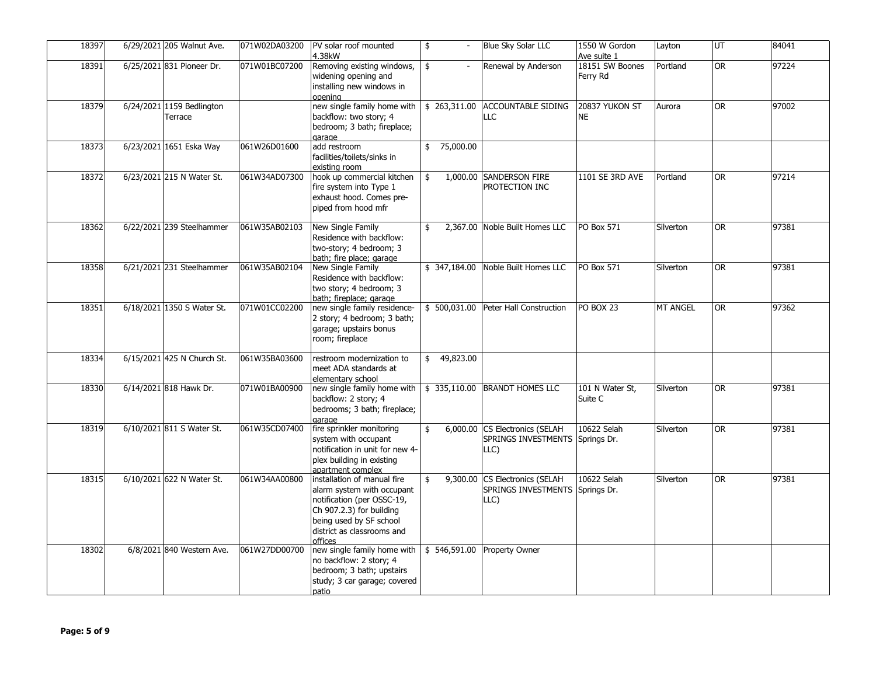| 18397 | 6/29/2021 205 Walnut Ave.            | 071W02DA03200 | PV solar roof mounted<br>4.38kW                                                                                                                                                         | $\overline{\phantom{a}}$ | <b>Blue Sky Solar LLC</b>                                     | 1550 W Gordon<br>Ave suite 1 | Layton          | UT        | 84041 |
|-------|--------------------------------------|---------------|-----------------------------------------------------------------------------------------------------------------------------------------------------------------------------------------|--------------------------|---------------------------------------------------------------|------------------------------|-----------------|-----------|-------|
| 18391 | 6/25/2021 831 Pioneer Dr.            | 071W01BC07200 | Removing existing windows,<br>widening opening and<br>installing new windows in<br>openina                                                                                              | \$                       | Renewal by Anderson                                           | 18151 SW Boones<br>Ferry Rd  | Portland        | <b>OR</b> | 97224 |
| 18379 | 6/24/2021 1159 Bedlington<br>Terrace |               | new single family home with<br>backflow: two story; 4<br>bedroom; 3 bath; fireplace;<br>garage                                                                                          | \$263,311.00             | <b>ACCOUNTABLE SIDING</b><br>LLC                              | 20837 YUKON ST<br><b>NE</b>  | Aurora          | OR.       | 97002 |
| 18373 | 6/23/2021 1651 Eska Way              | 061W26D01600  | add restroom<br>facilities/toilets/sinks in<br>existing room                                                                                                                            | 75,000.00<br>\$          |                                                               |                              |                 |           |       |
| 18372 | 6/23/2021 215 N Water St.            | 061W34AD07300 | hook up commercial kitchen<br>fire system into Type 1<br>exhaust hood. Comes pre-<br>piped from hood mfr                                                                                | 1,000.00<br>\$           | <b>SANDERSON FIRE</b><br>PROTECTION INC                       | 1101 SE 3RD AVE              | Portland        | <b>OR</b> | 97214 |
| 18362 | 6/22/2021 239 Steelhammer            | 061W35AB02103 | New Single Family<br>Residence with backflow:<br>two-story; 4 bedroom; 3<br>bath; fire place; garage                                                                                    | \$                       | 2,367.00 Noble Built Homes LLC                                | <b>PO Box 571</b>            | Silverton       | <b>OR</b> | 97381 |
| 18358 | 6/21/2021 231 Steelhammer            | 061W35AB02104 | New Single Family<br>Residence with backflow:<br>two story; 4 bedroom; 3<br>bath; fireplace; garage                                                                                     | \$347,184.00             | Noble Built Homes LLC                                         | <b>PO Box 571</b>            | Silverton       | <b>OR</b> | 97381 |
| 18351 | 6/18/2021 1350 S Water St.           | 071W01CC02200 | new single family residence-<br>2 story; 4 bedroom; 3 bath;<br>garage; upstairs bonus<br>room; fireplace                                                                                |                          | \$500,031.00 Peter Hall Construction                          | PO BOX 23                    | <b>MT ANGEL</b> | 0R        | 97362 |
| 18334 | 6/15/2021 425 N Church St.           | 061W35BA03600 | restroom modernization to<br>meet ADA standards at<br>elementary school                                                                                                                 | 49,823.00<br>\$          |                                                               |                              |                 |           |       |
| 18330 | 6/14/2021 818 Hawk Dr.               | 071W01BA00900 | new single family home with $\frac{1}{2}$ 335,110.00<br>backflow: 2 story; 4<br>bedrooms; 3 bath; fireplace;<br>garage                                                                  |                          | <b>BRANDT HOMES LLC</b>                                       | 101 N Water St,<br>Suite C   | Silverton       | 0R        | 97381 |
| 18319 | 6/10/2021 811 S Water St.            | 061W35CD07400 | fire sprinkler monitoring<br>system with occupant<br>notification in unit for new 4-<br>plex building in existing<br>apartment complex                                                  | \$                       | 6,000.00 CS Electronics (SELAH<br>SPRINGS INVESTMENTS<br>LLC) | 10622 Selah<br>Springs Dr.   | Silverton       | <b>OR</b> | 97381 |
| 18315 | 6/10/2021 622 N Water St.            | 061W34AA00800 | installation of manual fire<br>alarm system with occupant<br>notification (per OSSC-19,<br>Ch 907.2.3) for building<br>being used by SF school<br>district as classrooms and<br>offices | \$                       | 9,300.00 CS Electronics (SELAH<br>SPRINGS INVESTMENTS<br>LLC) | 10622 Selah<br>Springs Dr.   | Silverton       | <b>OR</b> | 97381 |
| 18302 | 6/8/2021 840 Western Ave.            | 061W27DD00700 | new single family home with $\frac{1}{5}$ 546,591.00<br>no backflow: 2 story; 4<br>bedroom; 3 bath; upstairs<br>study; 3 car garage; covered<br>patio                                   |                          | <b>Property Owner</b>                                         |                              |                 |           |       |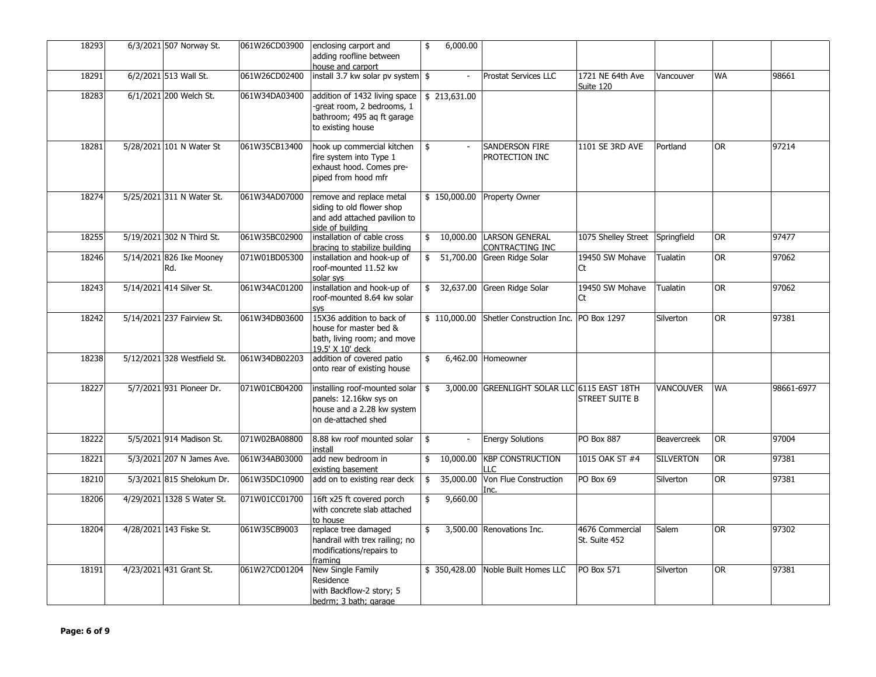| 18293 | 6/3/2021 507 Norway St.         | 061W26CD03900 | enclosing carport and<br>adding roofline between<br>house and carport                                                                | 6,000.00<br>\$  |                                               |                                  |                    |           |            |
|-------|---------------------------------|---------------|--------------------------------------------------------------------------------------------------------------------------------------|-----------------|-----------------------------------------------|----------------------------------|--------------------|-----------|------------|
| 18291 | 6/2/2021 513 Wall St.           | 061W26CD02400 | install 3.7 kw solar pv system $\frac{1}{2}$                                                                                         | $\blacksquare$  | Prostat Services LLC                          | 1721 NE 64th Ave<br>Suite 120    | Vancouver          | WA        | 98661      |
| 18283 | 6/1/2021 200 Welch St.          | 061W34DA03400 | addition of 1432 living space $\vert$ \$ 213,631.00<br>-great room, 2 bedrooms, 1<br>bathroom; 495 aq ft garage<br>to existing house |                 |                                               |                                  |                    |           |            |
| 18281 | 5/28/2021 101 N Water St        | 061W35CB13400 | hook up commercial kitchen<br>fire system into Type 1<br>exhaust hood. Comes pre-<br>piped from hood mfr                             | \$              | <b>SANDERSON FIRE</b><br>PROTECTION INC       | 1101 SE 3RD AVE                  | Portland           | OR        | 97214      |
| 18274 | 5/25/2021 311 N Water St.       | 061W34AD07000 | remove and replace metal<br>siding to old flower shop<br>and add attached pavilion to<br>side of building                            | \$150,000.00    | <b>Property Owner</b>                         |                                  |                    |           |            |
| 18255 | 5/19/2021 302 N Third St.       | 061W35BC02900 | installation of cable cross<br>bracing to stabilize building                                                                         |                 | \$10,000.00 LARSON GENERAL<br>CONTRACTING INC | 1075 Shelley Street              | Springfield        | <b>OR</b> | 97477      |
| 18246 | 5/14/2021 826 Ike Mooney<br>Rd. | 071W01BD05300 | installation and hook-up of<br>roof-mounted 11.52 kw<br>solar sys                                                                    | 51,700.00<br>\$ | Green Ridge Solar                             | 19450 SW Mohave<br>Ct            | Tualatin           | OR        | 97062      |
| 18243 | 5/14/2021 414 Silver St.        | 061W34AC01200 | installation and hook-up of<br>roof-mounted 8.64 kw solar<br>SVS                                                                     |                 | 32,637.00 Green Ridge Solar                   | 19450 SW Mohave<br>Ct            | Tualatin           | OR        | 97062      |
| 18242 | 5/14/2021 237 Fairview St.      | 061W34DB03600 | 15X36 addition to back of<br>house for master bed &<br>bath, living room; and move<br>19.5' X 10' deck                               | \$110,000.00    | Shetler Construction Inc. PO Box 1297         |                                  | Silverton          | <b>OR</b> | 97381      |
| 18238 | 5/12/2021 328 Westfield St.     | 061W34DB02203 | addition of covered patio<br>onto rear of existing house                                                                             | 6,462.00<br>\$  | Homeowner                                     |                                  |                    |           |            |
| 18227 | 5/7/2021 931 Pioneer Dr.        | 071W01CB04200 | installing roof-mounted solar $\frac{1}{5}$<br>panels: 12.16kw sys on<br>house and a 2.28 kw system<br>on de-attached shed           |                 | 3,000.00 GREENLIGHT SOLAR LLC 6115 EAST 18TH  | <b>STREET SUITE B</b>            | VANCOUVER          | WA        | 98661-6977 |
| 18222 | 5/5/2021 914 Madison St.        | 071W02BA08800 | 8.88 kw roof mounted solar<br>install                                                                                                | \$              | <b>Energy Solutions</b>                       | <b>PO Box 887</b>                | <b>Beavercreek</b> | <b>OR</b> | 97004      |
| 18221 | 5/3/2021 207 N James Ave.       | 061W34AB03000 | add new bedroom in<br>existing basement                                                                                              | 10,000.00<br>\$ | <b>KBP CONSTRUCTION</b><br>ПC                 | 1015 OAK ST #4                   | <b>SILVERTON</b>   | 0R        | 97381      |
| 18210 | 5/3/2021 815 Shelokum Dr.       | 061W35DC10900 | add on to existing rear deck                                                                                                         | 35,000.00<br>\$ | Von Flue Construction<br>Inc.                 | PO Box 69                        | Silverton          | <b>OR</b> | 97381      |
| 18206 | 4/29/2021 1328 S Water St.      | 071W01CC01700 | 16ft x25 ft covered porch<br>with concrete slab attached<br>to house                                                                 | 9,660.00<br>\$  |                                               |                                  |                    |           |            |
| 18204 | 4/28/2021 143 Fiske St.         | 061W35CB9003  | replace tree damaged<br>handrail with trex railing; no<br>modifications/repairs to<br>framing                                        |                 | 3,500.00 Renovations Inc.                     | 4676 Commercial<br>St. Suite 452 | Salem              | <b>OR</b> | 97302      |
| 18191 | 4/23/2021 431 Grant St.         | 061W27CD01204 | <b>New Single Family</b><br>Residence<br>with Backflow-2 story; 5<br>bedrm; 3 bath; garage                                           | \$350,428.00    | Noble Built Homes LLC                         | <b>PO Box 571</b>                | Silverton          | OR.       | 97381      |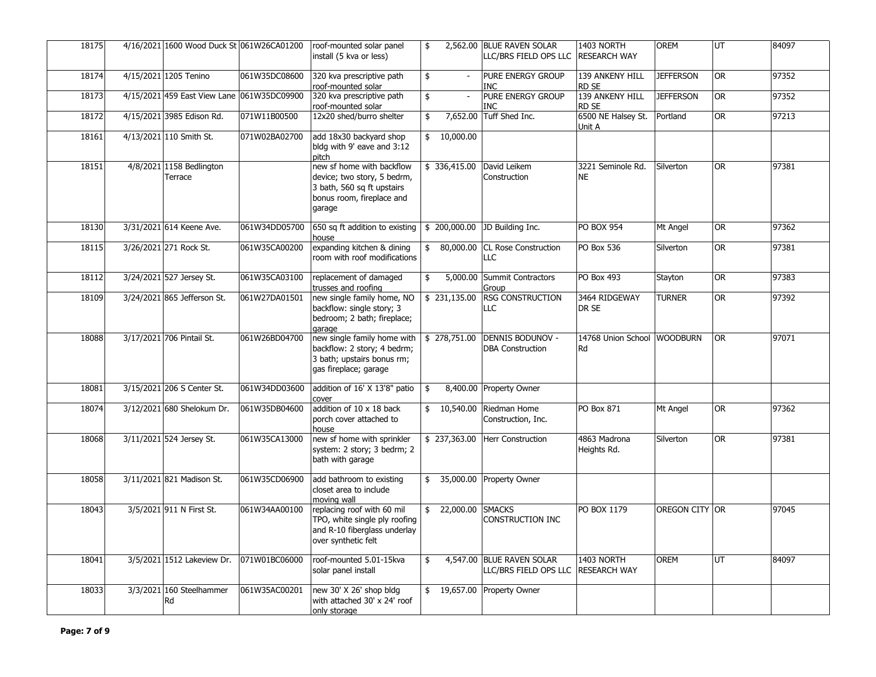| 18175 | 4/16/2021 1600 Wood Duck St 061W26CA01200  |               | roof-mounted solar panel<br>install (5 kva or less)                                                                           | 2,562.00<br>\$                 | <b>BLUE RAVEN SOLAR</b><br>LLC/BRS FIELD OPS LLC   | 1403 NORTH<br><b>RESEARCH WAY</b> | <b>OREM</b>      | UT                     | 84097 |
|-------|--------------------------------------------|---------------|-------------------------------------------------------------------------------------------------------------------------------|--------------------------------|----------------------------------------------------|-----------------------------------|------------------|------------------------|-------|
| 18174 | 4/15/2021 1205 Tenino                      | 061W35DC08600 | 320 kva prescriptive path<br>roof-mounted solar                                                                               | \$<br>$\mathcal{L}$            | <b>PURE ENERGY GROUP</b><br><b>INC</b>             | 139 ANKENY HILL<br>RD SE          | <b>JEFFERSON</b> | <b>OR</b>              | 97352 |
| 18173 | 4/15/2021 459 East View Lane 061W35DC09900 |               | 320 kva prescriptive path<br>roof-mounted solar                                                                               | $\frac{1}{2}$<br>$\mathcal{L}$ | PURE ENERGY GROUP<br><b>INC</b>                    | 139 ANKENY HILL<br>RD SE          | <b>JEFFERSON</b> | <b>OR</b>              | 97352 |
| 18172 | 4/15/2021 3985 Edison Rd.                  | 071W11B00500  | 12x20 shed/burro shelter                                                                                                      | 7,652.00<br>\$                 | Tuff Shed Inc.                                     | 6500 NE Halsey St.<br>Unit A      | Portland         | <b>OR</b>              | 97213 |
| 18161 | 4/13/2021 110 Smith St.                    | 071W02BA02700 | add 18x30 backyard shop<br>bldg with 9' eave and 3:12<br>pitch                                                                | 10,000.00<br>\$                |                                                    |                                   |                  |                        |       |
| 18151 | 4/8/2021 1158 Bedlington<br>Terrace        |               | new sf home with backflow<br>device; two story, 5 bedrm,<br>3 bath, 560 sq ft upstairs<br>bonus room, fireplace and<br>garage | \$336,415.00                   | David Leikem<br>Construction                       | 3221 Seminole Rd.<br><b>NE</b>    | Silverton        | <b>OR</b>              | 97381 |
| 18130 | 3/31/2021 614 Keene Ave.                   | 061W34DD05700 | 650 sq ft addition to existing $\frac{1}{2}$ 200,000.00 JD Building Inc.<br>house                                             |                                |                                                    | <b>PO BOX 954</b>                 | Mt Angel         | <b>OR</b>              | 97362 |
| 18115 | 3/26/2021 271 Rock St.                     | 061W35CA00200 | expanding kitchen & dining<br>room with roof modifications                                                                    | 80,000.00<br>\$                | <b>CL Rose Construction</b><br><b>LLC</b>          | PO Box 536                        | Silverton        | <b>OR</b>              | 97381 |
| 18112 | 3/24/2021 527 Jersey St.                   | 061W35CA03100 | replacement of damaged<br>trusses and roofing                                                                                 | \$<br>5,000.00                 | Summit Contractors<br>Group                        | PO Box 493                        | Stayton          | <b>OR</b>              | 97383 |
| 18109 | 3/24/2021 865 Jefferson St.                | 061W27DA01501 | new single family home, NO<br>backflow: single story; 3<br>bedroom; 2 bath; fireplace;<br>garage                              | \$231,135.00                   | <b>RSG CONSTRUCTION</b><br>LLC                     | 3464 RIDGEWAY<br>DR SE            | <b>TURNER</b>    | <b>OR</b>              | 97392 |
| 18088 | 3/17/2021 706 Pintail St.                  | 061W26BD04700 | new single family home with<br>backflow: 2 story; 4 bedrm;<br>3 bath; upstairs bonus rm;<br>gas fireplace; garage             | \$278,751.00                   | <b>DENNIS BODUNOV -</b><br><b>DBA Construction</b> | 14768 Union School WOODBURN<br>Rd |                  | <b>OR</b>              | 97071 |
| 18081 | 3/15/2021 206 S Center St.                 | 061W34DD03600 | addition of 16' X 13'8" patio<br>cover                                                                                        | \$                             | 8,400.00 Property Owner                            |                                   |                  |                        |       |
| 18074 | 3/12/2021 680 Shelokum Dr.                 | 061W35DB04600 | addition of 10 x 18 back<br>porch cover attached to<br>house                                                                  | 10,540.00<br>\$                | Riedman Home<br>Construction, Inc.                 | PO Box 871                        | Mt Angel         | <b>OR</b>              | 97362 |
| 18068 | 3/11/2021 524 Jersey St.                   | 061W35CA13000 | new sf home with sprinkler<br>system: 2 story; 3 bedrm; 2<br>bath with garage                                                 | \$237,363.00                   | Herr Construction                                  | 4863 Madrona<br>Heights Rd.       | Silverton        | $\overline{\text{OR}}$ | 97381 |
| 18058 | 3/11/2021 821 Madison St.                  | 061W35CD06900 | add bathroom to existing<br>closet area to include<br>moving wall                                                             |                                | \$ 35,000.00 Property Owner                        |                                   |                  |                        |       |
| 18043 | 3/5/2021 911 N First St.                   | 061W34AA00100 | replacing roof with 60 mil<br>TPO, white single ply roofing<br>and R-10 fiberglass underlay<br>over synthetic felt            | \$22,000.00                    | <b>SMACKS</b><br><b>CONSTRUCTION INC</b>           | PO BOX 1179                       | OREGON CITY OR   |                        | 97045 |
| 18041 | 3/5/2021 1512 Lakeview Dr.                 | 071W01BC06000 | roof-mounted 5.01-15kva<br>solar panel install                                                                                | \$                             | 4,547.00 BLUE RAVEN SOLAR<br>LLC/BRS FIELD OPS LLC | 1403 NORTH<br><b>RESEARCH WAY</b> | <b>OREM</b>      | UT                     | 84097 |
| 18033 | 3/3/2021 160 Steelhammer<br>Rd             | 061W35AC00201 | new 30' X 26' shop bldg<br>with attached 30' x 24' roof<br>only storage                                                       |                                | 19,657.00 Property Owner                           |                                   |                  |                        |       |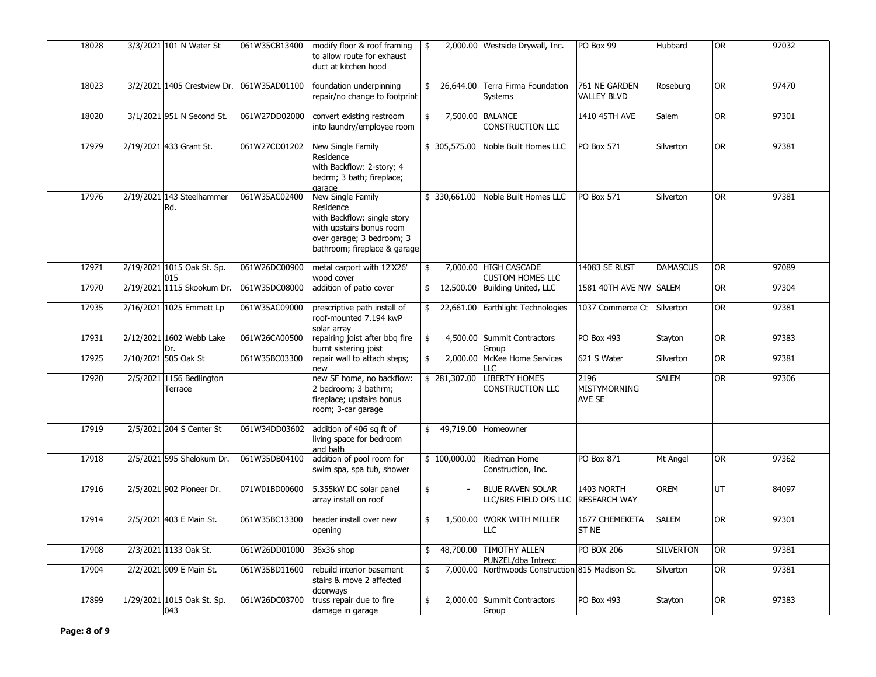| 18028 | 3/3/2021 101 N Water St             | 061W35CB13400 | modify floor & roof framing<br>to allow route for exhaust<br>duct at kitchen hood                                                                      | \$                   | 2,000.00 Westside Drywall, Inc.                  | PO Box 99                           | Hubbard          | 0R        | 97032 |
|-------|-------------------------------------|---------------|--------------------------------------------------------------------------------------------------------------------------------------------------------|----------------------|--------------------------------------------------|-------------------------------------|------------------|-----------|-------|
| 18023 | 3/2/2021 1405 Crestview Dr.         | 061W35AD01100 | foundation underpinning<br>repair/no change to footprint                                                                                               | 26,644.00<br>\$      | Terra Firma Foundation<br><b>Systems</b>         | 761 NE GARDEN<br><b>VALLEY BLVD</b> | Roseburg         | OR        | 97470 |
| 18020 | 3/1/2021 951 N Second St.           | 061W27DD02000 | convert existing restroom<br>into laundry/employee room                                                                                                | \$<br>7,500.00       | <b>BALANCE</b><br><b>CONSTRUCTION LLC</b>        | 1410 45TH AVE                       | Salem            | OR.       | 97301 |
| 17979 | 2/19/2021 433 Grant St.             | 061W27CD01202 | New Single Family<br>Residence<br>with Backflow: 2-story; 4<br>bedrm; 3 bath; fireplace;<br>garage                                                     | \$ 305,575.00        | Noble Built Homes LLC                            | PO Box 571                          | Silverton        | <b>OR</b> | 97381 |
| 17976 | 2/19/2021 143 Steelhammer<br>Rd.    | 061W35AC02400 | New Single Family<br>Residence<br>with Backflow: single story<br>with upstairs bonus room<br>over garage; 3 bedroom; 3<br>bathroom; fireplace & garage | \$330,661.00         | Noble Built Homes LLC                            | <b>PO Box 571</b>                   | Silverton        | OR.       | 97381 |
| 17971 | 2/19/2021 1015 Oak St. Sp.<br>015   | 061W26DC00900 | metal carport with 12'X26'<br>wood cover                                                                                                               | \$                   | 7,000.00 HIGH CASCADE<br><b>CUSTOM HOMES LLC</b> | 14083 SE RUST                       | <b>DAMASCUS</b>  | 0R        | 97089 |
| 17970 | 2/19/2021 1115 Skookum Dr.          | 061W35DC08000 | addition of patio cover                                                                                                                                |                      | 12,500.00 Building United, LLC                   | 1581 40TH AVE NW SALEM              |                  | <b>OR</b> | 97304 |
| 17935 | 2/16/2021 1025 Emmett Lp            | 061W35AC09000 | prescriptive path install of<br>roof-mounted 7.194 kwP<br>solar arrav                                                                                  | \$                   | 22,661.00 Earthlight Technologies                | 1037 Commerce Ct                    | Silverton        | <b>OR</b> | 97381 |
| 17931 | 2/12/2021 1602 Webb Lake            | 061W26CA00500 | repairing joist after bbq fire<br>burnt sistering joist                                                                                                | \$                   | 4,500.00 Summit Contractors<br>Group             | PO Box 493                          | Stayton          | <b>OR</b> | 97383 |
| 17925 | 2/10/2021 505 Oak St                | 061W35BC03300 | repair wall to attach steps;<br>new                                                                                                                    | 2,000.00<br>\$       | McKee Home Services<br>LLC.                      | 621 S Water                         | Silverton        | 0R        | 97381 |
| 17920 | 2/5/2021 1156 Bedlington<br>Terrace |               | new SF home, no backflow:<br>2 bedroom; 3 bathrm;<br>fireplace; upstairs bonus<br>room; 3-car garage                                                   | \$281,307.00         | <b>LIBERTY HOMES</b><br><b>CONSTRUCTION LLC</b>  | 2196<br>MISTYMORNING<br>AVE SE      | <b>SALEM</b>     | OR.       | 97306 |
| 17919 | 2/5/2021 204 S Center St            | 061W34DD03602 | addition of 406 sq ft of<br>living space for bedroom<br>and bath                                                                                       | \$<br>49,719.00      | Homeowner                                        |                                     |                  |           |       |
| 17918 | 2/5/2021 595 Shelokum Dr.           | 061W35DB04100 | addition of pool room for<br>swim spa, spa tub, shower                                                                                                 | \$100,000.00         | Riedman Home<br>Construction, Inc.               | PO Box 871                          | Mt Angel         | OR.       | 97362 |
| 17916 | 2/5/2021 902 Pioneer Dr.            | 071W01BD00600 | 5.355kW DC solar panel<br>array install on roof                                                                                                        | \$<br>$\blacksquare$ | <b>BLUE RAVEN SOLAR</b><br>LLC/BRS FIELD OPS LLC | 1403 NORTH<br><b>RESEARCH WAY</b>   | OREM             | UT        | 84097 |
| 17914 | 2/5/2021 403 E Main St.             | 061W35BC13300 | header install over new<br>opening                                                                                                                     | 1,500.00<br>\$       | <b>WORK WITH MILLER</b><br>LLC                   | 1677 CHEMEKETA<br>ST <sub>NE</sub>  | <b>SALEM</b>     | <b>OR</b> | 97301 |
| 17908 | 2/3/2021 1133 Oak St.               | 061W26DD01000 | 36x36 shop                                                                                                                                             | 48,700.00<br>\$      | <b>TIMOTHY ALLEN</b><br>PUNZEL/dba Intrecc       | <b>PO BOX 206</b>                   | <b>SILVERTON</b> | OR        | 97381 |
| 17904 | 2/2/2021 909 E Main St.             | 061W35BD11600 | rebuild interior basement<br>stairs & move 2 affected<br>doorways                                                                                      | 7,000.00<br>\$       | Northwoods Construction 815 Madison St.          |                                     | Silverton        | <b>OR</b> | 97381 |
| 17899 | 1/29/2021 1015 Oak St. Sp.<br>043   | 061W26DC03700 | truss repair due to fire<br>damage in garage                                                                                                           | 2,000.00<br>\$       | Summit Contractors<br>Group                      | PO Box 493                          | Stayton          | <b>OR</b> | 97383 |